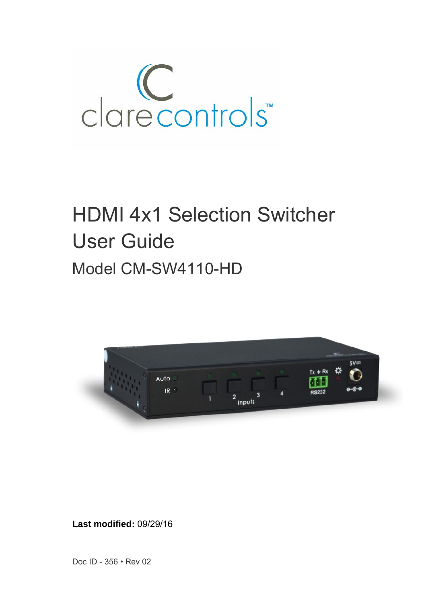

# HDMI 4x1 Selection Switcher User Guide Model CM-SW4110-HD



**Last modified:** 09/29/16

Doc ID - 356 • Rev 02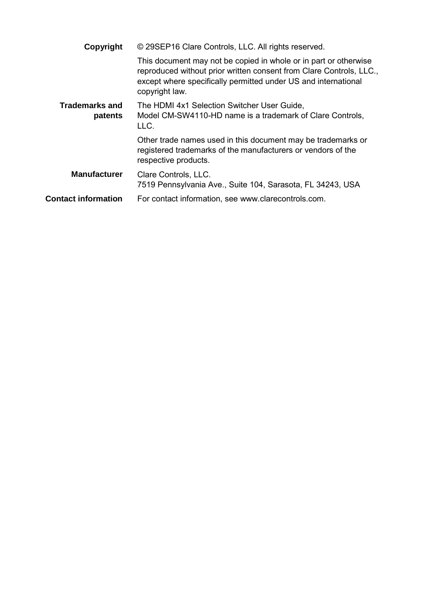| Copyright                        | © 29SEP16 Clare Controls, LLC. All rights reserved.                                                                                                                                                                         |
|----------------------------------|-----------------------------------------------------------------------------------------------------------------------------------------------------------------------------------------------------------------------------|
|                                  | This document may not be copied in whole or in part or otherwise<br>reproduced without prior written consent from Clare Controls, LLC.,<br>except where specifically permitted under US and international<br>copyright law. |
| <b>Trademarks and</b><br>patents | The HDMI 4x1 Selection Switcher User Guide,<br>Model CM-SW4110-HD name is a trademark of Clare Controls,<br>LLC.                                                                                                            |
|                                  | Other trade names used in this document may be trademarks or<br>registered trademarks of the manufacturers or vendors of the<br>respective products.                                                                        |
| <b>Manufacturer</b>              | Clare Controls, LLC.<br>7519 Pennsylvania Ave., Suite 104, Sarasota, FL 34243, USA                                                                                                                                          |
| <b>Contact information</b>       | For contact information, see www.clarecontrols.com.                                                                                                                                                                         |
|                                  |                                                                                                                                                                                                                             |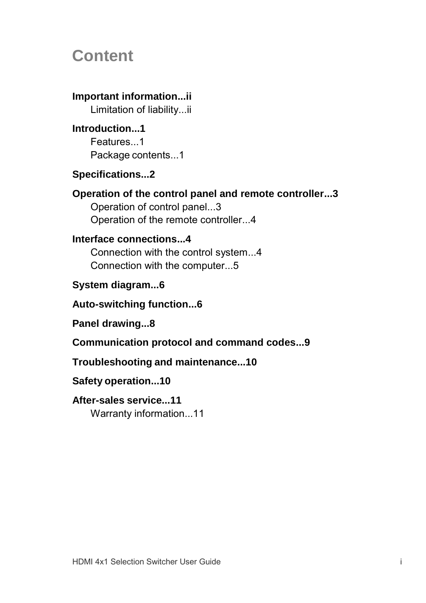## **Content**

## **Important information...ii**

Limitation of liability...ii

#### **Introduction...1** Features...1

Package contents...1

## **Specifications...2**

## **Operation of the control panel and remote controller...3**

Operation of control panel...3 Operation of the remote controller...4

## **Interface connections...4**

Connection with the control system...4 Connection with the computer...5

## **System diagram...6**

## **Auto-switching function...6**

**Panel drawing...8**

## **Communication protocol and command codes...9**

## **Troubleshooting and maintenance...10**

## **Safety operation...10**

## **After-sales service...11**

Warranty information...11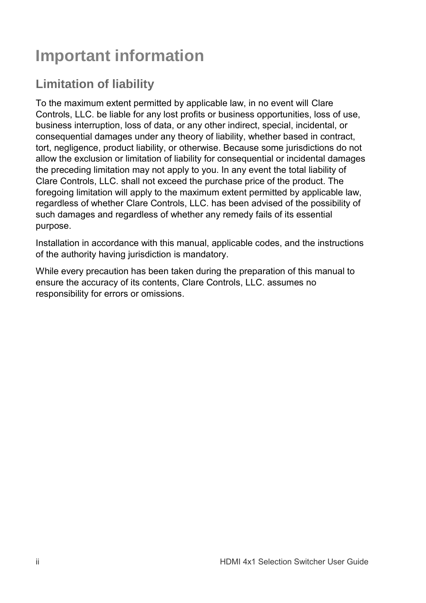# **Important information**

## **Limitation of liability**

To the maximum extent permitted by applicable law, in no event will Clare Controls, LLC. be liable for any lost profits or business opportunities, loss of use, business interruption, loss of data, or any other indirect, special, incidental, or consequential damages under any theory of liability, whether based in contract, tort, negligence, product liability, or otherwise. Because some jurisdictions do not allow the exclusion or limitation of liability for consequential or incidental damages the preceding limitation may not apply to you. In any event the total liability of Clare Controls, LLC. shall not exceed the purchase price of the product. The foregoing limitation will apply to the maximum extent permitted by applicable law, regardless of whether Clare Controls, LLC. has been advised of the possibility of such damages and regardless of whether any remedy fails of its essential purpose.

Installation in accordance with this manual, applicable codes, and the instructions of the authority having jurisdiction is mandatory.

While every precaution has been taken during the preparation of this manual to ensure the accuracy of its contents, Clare Controls, LLC. assumes no responsibility for errors or omissions.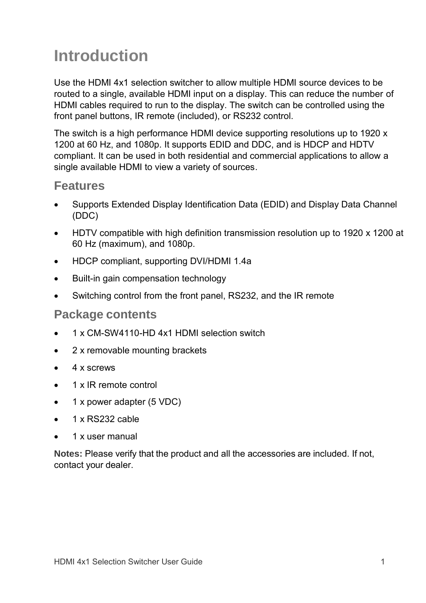# **Introduction**

Use the HDMI 4x1 selection switcher to allow multiple HDMI source devices to be routed to a single, available HDMI input on a display. This can reduce the number of HDMI cables required to run to the display. The switch can be controlled using the front panel buttons, IR remote (included), or RS232 control.

The switch is a high performance HDMI device supporting resolutions up to 1920 x 1200 at 60 Hz, and 1080p. It supports EDID and DDC, and is HDCP and HDTV compliant. It can be used in both residential and commercial applications to allow a single available HDMI to view a variety of sources.

## **Features**

- Supports Extended Display Identification Data (EDID) and Display Data Channel (DDC)
- HDTV compatible with high definition transmission resolution up to 1920 x 1200 at 60 Hz (maximum), and 1080p.
- HDCP compliant, supporting DVI/HDMI 1.4a
- Built-in gain compensation technology
- Switching control from the front panel, RS232, and the IR remote

### **Package contents**

- 1 x CM-SW4110-HD 4x1 HDMI selection switch
- 2 x removable mounting brackets
- $\bullet$  4 x screws
- 1 x IR remote control
- 1 x power adapter (5 VDC)
- 1 x RS232 cable
- 1 x user manual

**Notes:** Please verify that the product and all the accessories are included. If not, contact your dealer.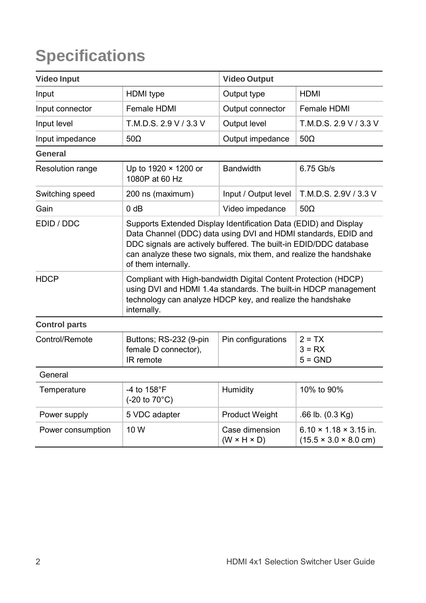# **Specifications**

| <b>Video Input</b>   |                                                                                                                                                                                                                                                                                                      | <b>Video Output</b>                       |                                                                                 |
|----------------------|------------------------------------------------------------------------------------------------------------------------------------------------------------------------------------------------------------------------------------------------------------------------------------------------------|-------------------------------------------|---------------------------------------------------------------------------------|
| Input                | HDMI type                                                                                                                                                                                                                                                                                            | Output type                               | <b>HDMI</b>                                                                     |
| Input connector      | Female HDMI                                                                                                                                                                                                                                                                                          | Output connector                          | Female HDMI                                                                     |
| Input level          | T.M.D.S. 2.9 V / 3.3 V                                                                                                                                                                                                                                                                               | Output level                              | T.M.D.S. 2.9 V / 3.3 V                                                          |
| Input impedance      | $50\Omega$                                                                                                                                                                                                                                                                                           | Output impedance                          | $50\Omega$                                                                      |
| General              |                                                                                                                                                                                                                                                                                                      |                                           |                                                                                 |
| Resolution range     | Up to 1920 × 1200 or<br>1080P at 60 Hz                                                                                                                                                                                                                                                               | <b>Bandwidth</b>                          | 6.75 Gb/s                                                                       |
| Switching speed      | 200 ns (maximum)                                                                                                                                                                                                                                                                                     | Input / Output level                      | T.M.D.S. 2.9V / 3.3 V                                                           |
| Gain                 | 0 dB                                                                                                                                                                                                                                                                                                 | Video impedance                           | $50\Omega$                                                                      |
| EDID / DDC           | Supports Extended Display Identification Data (EDID) and Display<br>Data Channel (DDC) data using DVI and HDMI standards, EDID and<br>DDC signals are actively buffered. The built-in EDID/DDC database<br>can analyze these two signals, mix them, and realize the handshake<br>of them internally. |                                           |                                                                                 |
| <b>HDCP</b>          | Compliant with High-bandwidth Digital Content Protection (HDCP)<br>using DVI and HDMI 1.4a standards. The built-in HDCP management<br>technology can analyze HDCP key, and realize the handshake<br>internally.                                                                                      |                                           |                                                                                 |
| <b>Control parts</b> |                                                                                                                                                                                                                                                                                                      |                                           |                                                                                 |
| Control/Remote       | Buttons; RS-232 (9-pin<br>female D connector),<br>IR remote                                                                                                                                                                                                                                          | Pin configurations                        | $2 = TX$<br>$3 = RX$<br>$5 = GND$                                               |
| General              |                                                                                                                                                                                                                                                                                                      |                                           |                                                                                 |
| Temperature          | -4 to 158°F<br>(-20 to 70°C)                                                                                                                                                                                                                                                                         | Humidity                                  | 10% to 90%                                                                      |
| Power supply         | 5 VDC adapter                                                                                                                                                                                                                                                                                        | <b>Product Weight</b>                     | $.66$ lb. $(0.3$ Kg)                                                            |
| Power consumption    | 10 W                                                                                                                                                                                                                                                                                                 | Case dimension<br>$(W \times H \times D)$ | $6.10 \times 1.18 \times 3.15$ in.<br>$(15.5 \times 3.0 \times 8.0 \text{ cm})$ |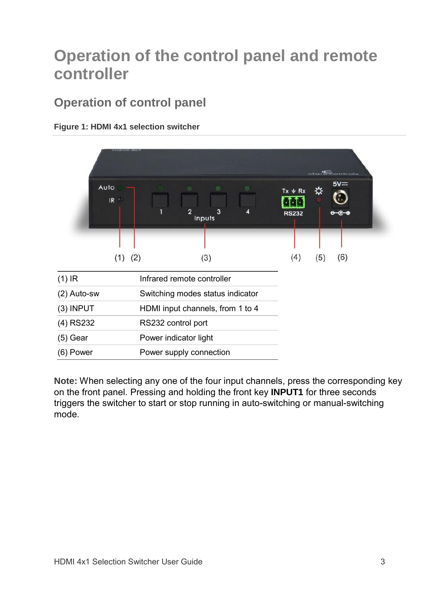## **Operation of the control panel and remote controller**

## **Operation of control panel**



#### **Figure 1: HDMI 4x1 selection switcher**

**Note:** When selecting any one of the four input channels, press the corresponding key on the front panel. Pressing and holding the front key **INPUT1** for three seconds triggers the switcher to start or stop running in auto-switching or manual-switching mode.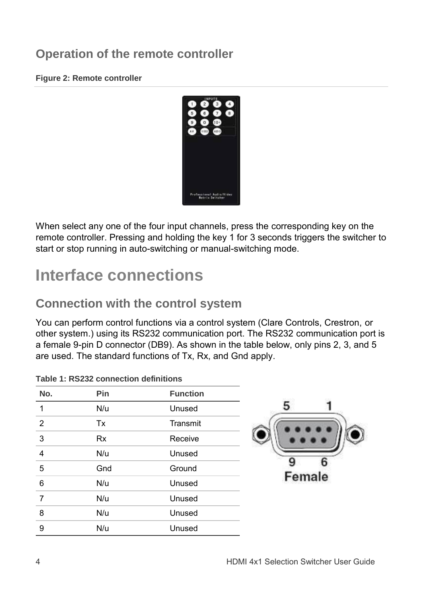## **Operation of the remote controller**

#### **Figure 2: Remote controller**



When select any one of the four input channels, press the corresponding key on the remote controller. Pressing and holding the key 1 for 3 seconds triggers the switcher to start or stop running in auto-switching or manual-switching mode.

## **Interface connections**

## **Connection with the control system**

You can perform control functions via a control system (Clare Controls, Crestron, or other system.) using its RS232 communication port. The RS232 communication port is a female 9-pin D connector (DB9). As shown in the table below, only pins 2, 3, and 5 are used. The standard functions of Tx, Rx, and Gnd apply.

|                | Table 1. RSZSZ CONNECTION GENEROUS |                 |        |
|----------------|------------------------------------|-----------------|--------|
| No.            | Pin                                | <b>Function</b> |        |
| 1              | N/u                                | Unused          |        |
| $\overline{2}$ | Tx                                 | Transmit        |        |
| 3              | <b>Rx</b>                          | Receive         |        |
| $\overline{4}$ | N/u                                | Unused          |        |
| 5              | Gnd                                | Ground          |        |
| 6              | N/u                                | Unused          | Female |
| 7              | N/u                                | Unused          |        |
| 8              | N/u                                | Unused          |        |
| 9              | N/u                                | Unused          |        |

|  |  |  | Table 1: RS232 connection definitions |  |
|--|--|--|---------------------------------------|--|
|--|--|--|---------------------------------------|--|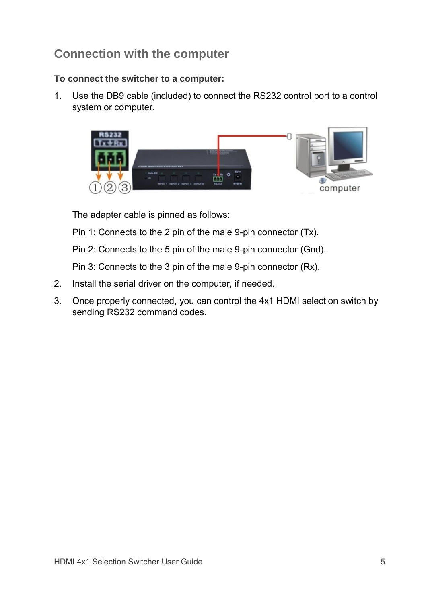## **Connection with the computer**

### **To connect the switcher to a computer:**

1. Use the DB9 cable (included) to connect the RS232 control port to a control system or computer.



The adapter cable is pinned as follows:

Pin 1: Connects to the 2 pin of the male 9-pin connector (Tx).

Pin 2: Connects to the 5 pin of the male 9-pin connector (Gnd).

Pin 3: Connects to the 3 pin of the male 9-pin connector (Rx).

- 2. Install the serial driver on the computer, if needed.
- 3. Once properly connected, you can control the 4x1 HDMI selection switch by sending RS232 command codes.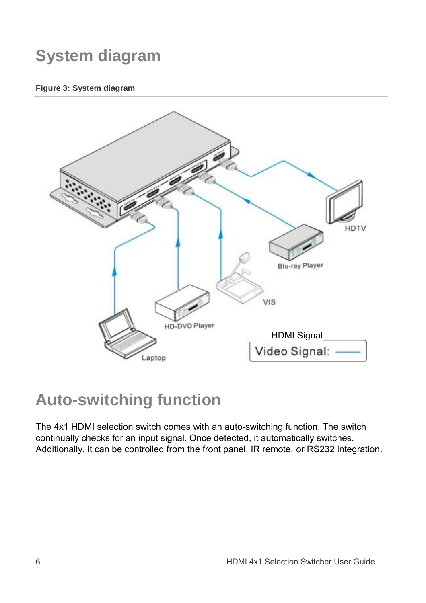# **System diagram**

#### **Figure 3: System diagram**



## **Auto-switching function**

The 4x1 HDMI selection switch comes with an auto-switching function. The switch continually checks for an input signal. Once detected, it automatically switches. Additionally, it can be controlled from the front panel, IR remote, or RS232 integration.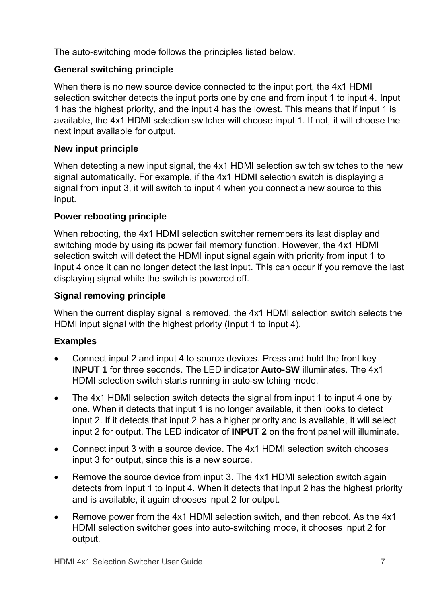The auto-switching mode follows the principles listed below.

### **General switching principle**

When there is no new source device connected to the input port, the 4x1 HDMI selection switcher detects the input ports one by one and from input 1 to input 4. Input 1 has the highest priority, and the input 4 has the lowest. This means that if input 1 is available, the 4x1 HDMI selection switcher will choose input 1. If not, it will choose the next input available for output.

#### **New input principle**

When detecting a new input signal, the 4x1 HDMI selection switch switches to the new signal automatically. For example, if the 4x1 HDMI selection switch is displaying a signal from input 3, it will switch to input 4 when you connect a new source to this input.

### **Power rebooting principle**

When rebooting, the 4x1 HDMI selection switcher remembers its last display and switching mode by using its power fail memory function. However, the 4x1 HDMI selection switch will detect the HDMI input signal again with priority from input 1 to input 4 once it can no longer detect the last input. This can occur if you remove the last displaying signal while the switch is powered off.

### **Signal removing principle**

When the current display signal is removed, the 4x1 HDMI selection switch selects the HDMI input signal with the highest priority (Input 1 to input 4).

### **Examples**

- Connect input 2 and input 4 to source devices. Press and hold the front key **INPUT 1** for three seconds. The LED indicator **Auto-SW** illuminates. The 4x1 HDMI selection switch starts running in auto-switching mode.
- The 4x1 HDMI selection switch detects the signal from input 1 to input 4 one by one. When it detects that input 1 is no longer available, it then looks to detect input 2. If it detects that input 2 has a higher priority and is available, it will select input 2 for output. The LED indicator of **INPUT 2** on the front panel will illuminate.
- Connect input 3 with a source device. The 4x1 HDMI selection switch chooses input 3 for output, since this is a new source.
- Remove the source device from input 3. The 4x1 HDMI selection switch again detects from input 1 to input 4. When it detects that input 2 has the highest priority and is available, it again chooses input 2 for output.
- Remove power from the 4x1 HDMI selection switch, and then reboot. As the 4x1 HDMI selection switcher goes into auto-switching mode, it chooses input 2 for output.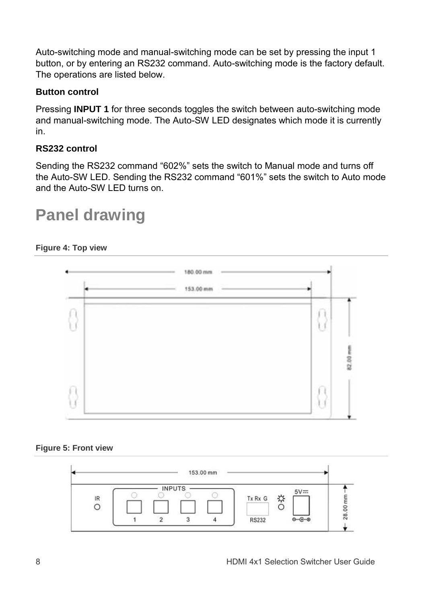Auto-switching mode and manual-switching mode can be set by pressing the input 1 button, or by entering an RS232 command. Auto-switching mode is the factory default. The operations are listed below.

### **Button control**

Pressing **INPUT 1** for three seconds toggles the switch between auto-switching mode and manual-switching mode. The Auto-SW LED designates which mode it is currently in.

### **RS232 control**

Sending the RS232 command "602%" sets the switch to Manual mode and turns off the Auto-SW LED. Sending the RS232 command "601%" sets the switch to Auto mode and the Auto-SW LED turns on.

## **Panel drawing**

#### **Figure 4: Top view**



#### **Figure 5: Front view**

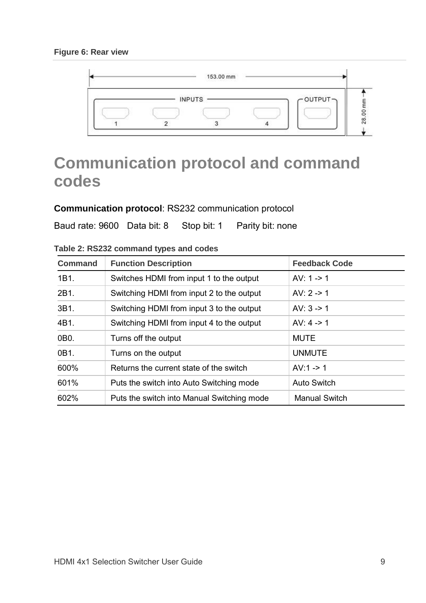

## **Communication protocol and command codes**

### **Communication protocol**: RS232 communication protocol

Baud rate: 9600 Data bit: 8 Stop bit: 1 Parity bit: none

| Command         | <b>Function Description</b>                | <b>Feedback Code</b> |
|-----------------|--------------------------------------------|----------------------|
| 1B1.            | Switches HDMI from input 1 to the output   | $AV: 1 - > 1$        |
| 2B1.            | Switching HDMI from input 2 to the output  | AV: $2 - 1$          |
| 3B1.            | Switching HDMI from input 3 to the output  | AV: $3 - 1$          |
| 4B1.            | Switching HDMI from input 4 to the output  | AV: $4 \div 1$       |
| 0B <sub>0</sub> | Turns off the output                       | <b>MUTE</b>          |
| 0B1.            | Turns on the output                        | <b>UNMUTE</b>        |
| 600%            | Returns the current state of the switch    | $AV:1 - > 1$         |
| 601%            | Puts the switch into Auto Switching mode   | Auto Switch          |
| 602%            | Puts the switch into Manual Switching mode | Manual Switch        |

**Table 2: RS232 command types and codes**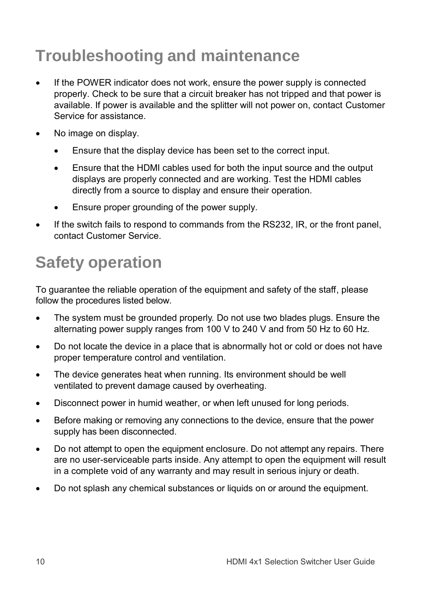# **Troubleshooting and maintenance**

- If the POWER indicator does not work, ensure the power supply is connected properly. Check to be sure that a circuit breaker has not tripped and that power is available. If power is available and the splitter will not power on, contact Customer Service for assistance.
- No image on display.
	- Ensure that the display device has been set to the correct input.
	- Ensure that the HDMI cables used for both the input source and the output displays are properly connected and are working. Test the HDMI cables directly from a source to display and ensure their operation.
	- Ensure proper grounding of the power supply.
- If the switch fails to respond to commands from the RS232, IR, or the front panel, contact Customer Service.

# **Safety operation**

To guarantee the reliable operation of the equipment and safety of the staff, please follow the procedures listed below.

- The system must be grounded properly. Do not use two blades plugs. Ensure the alternating power supply ranges from 100 V to 240 V and from 50 Hz to 60 Hz.
- Do not locate the device in a place that is abnormally hot or cold or does not have proper temperature control and ventilation.
- The device generates heat when running. Its environment should be well ventilated to prevent damage caused by overheating.
- Disconnect power in humid weather, or when left unused for long periods.
- Before making or removing any connections to the device, ensure that the power supply has been disconnected.
- Do not attempt to open the equipment enclosure. Do not attempt any repairs. There are no user-serviceable parts inside. Any attempt to open the equipment will result in a complete void of any warranty and may result in serious injury or death.
- Do not splash any chemical substances or liquids on or around the equipment.